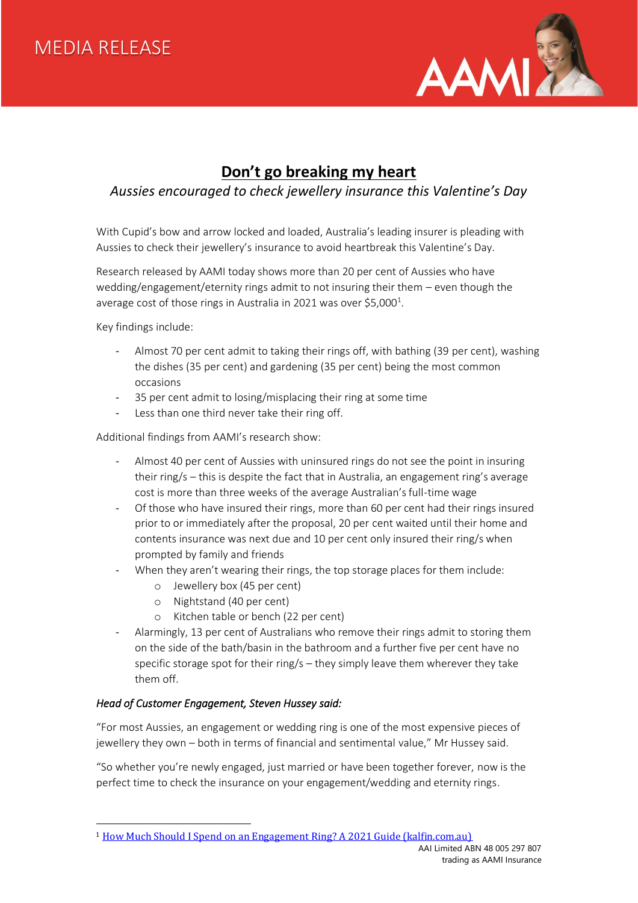

### **Don't go breaking my heart**

### *Aussies encouraged to check jewellery insurance this Valentine's Day*

With Cupid's bow and arrow locked and loaded, Australia's leading insurer is pleading with Aussies to check their jewellery's insurance to avoid heartbreak this Valentine's Day.

Research released by AAMI today shows more than 20 per cent of Aussies who have wedding/engagement/eternity rings admit to not insuring their them – even though the average cost of those rings in Australia in 2021 was over \$5,000<sup>1</sup>.

Key findings include:

- Almost 70 per cent admit to taking their rings off, with bathing (39 per cent), washing the dishes (35 per cent) and gardening (35 per cent) being the most common occasions
- 35 per cent admit to losing/misplacing their ring at some time
- Less than one third never take their ring off.

Additional findings from AAMI's research show:

- Almost 40 per cent of Aussies with uninsured rings do not see the point in insuring their ring/s – this is despite the fact that in Australia, an engagement ring's average cost is more than three weeks of the average Australian's full-time wage
- Of those who have insured their rings, more than 60 per cent had their rings insured prior to or immediately after the proposal, 20 per cent waited until their home and contents insurance was next due and 10 per cent only insured their ring/s when prompted by family and friends
- When they aren't wearing their rings, the top storage places for them include:
	- o Jewellery box (45 per cent)
	- o Nightstand (40 per cent)
	- o Kitchen table or bench (22 per cent)
- Alarmingly, 13 per cent of Australians who remove their rings admit to storing them on the side of the bath/basin in the bathroom and a further five per cent have no specific storage spot for their ring/s – they simply leave them wherever they take them off.

#### *Head of Customer Engagement, Steven Hussey said:*

"For most Aussies, an engagement or wedding ring is one of the most expensive pieces of jewellery they own – both in terms of financial and sentimental value," Mr Hussey said.

"So whether you're newly engaged, just married or have been together forever, now is the perfect time to check the insurance on your engagement/wedding and eternity rings.

<sup>&</sup>lt;sup>1</sup> [How Much Should I Spend on an Engagement Ring? A 2021 Guide \(kalfin.com.au\)](https://www.kalfin.com.au/blog/engagement-rings/how-much-should-i-spend-on-an-engagement-ring-a-2021-guide/)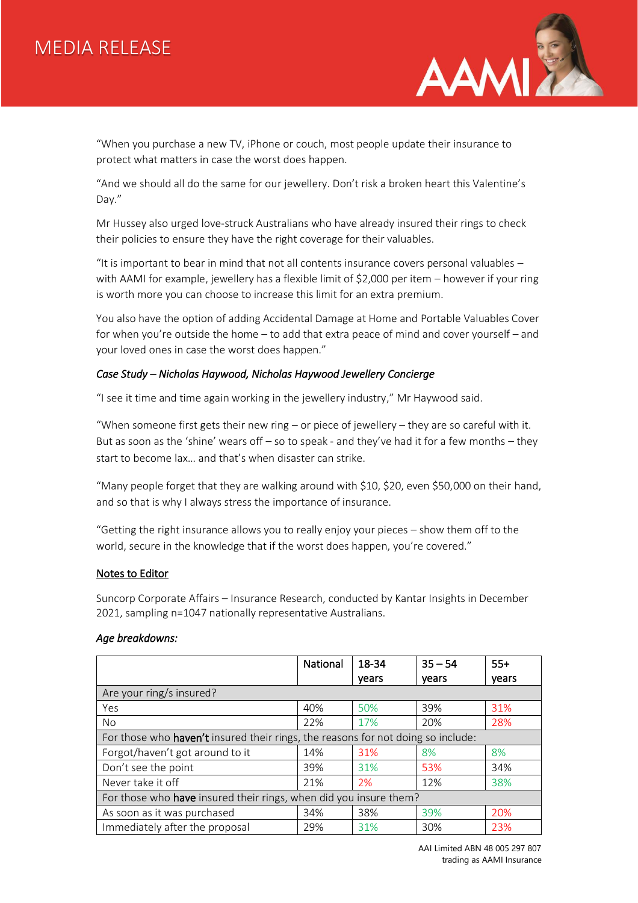# MEDIA RELEASE



"When you purchase a new TV, iPhone or couch, most people update their insurance to protect what matters in case the worst does happen.

"And we should all do the same for our jewellery. Don't risk a broken heart this Valentine's Day."

Mr Hussey also urged love-struck Australians who have already insured their rings to check their policies to ensure they have the right coverage for their valuables.

"It is important to bear in mind that not all contents insurance covers personal valuables – with AAMI for example, jewellery has a flexible limit of \$2,000 per item – however if your ring is worth more you can choose to increase this limit for an extra premium.

You also have the option of adding Accidental Damage at Home and Portable Valuables Cover for when you're outside the home – to add that extra peace of mind and cover yourself – and your loved ones in case the worst does happen."

#### *Case Study – Nicholas Haywood, Nicholas Haywood Jewellery Concierge*

"I see it time and time again working in the jewellery industry," Mr Haywood said.

"When someone first gets their new ring  $-$  or piece of jewellery  $-$  they are so careful with it. But as soon as the 'shine' wears off – so to speak - and they've had it for a few months – they start to become lax… and that's when disaster can strike.

"Many people forget that they are walking around with \$10, \$20, even \$50,000 on their hand, and so that is why I always stress the importance of insurance.

"Getting the right insurance allows you to really enjoy your pieces – show them off to the world, secure in the knowledge that if the worst does happen, you're covered."

#### Notes to Editor

Suncorp Corporate Affairs – Insurance Research, conducted by Kantar Insights in December 2021, sampling n=1047 nationally representative Australians.

#### *Age breakdowns:*

|                                                                                  | National | 18-34 | $35 - 54$ | $55+$ |  |  |
|----------------------------------------------------------------------------------|----------|-------|-----------|-------|--|--|
|                                                                                  |          | vears | vears     | vears |  |  |
| Are your ring/s insured?                                                         |          |       |           |       |  |  |
| Yes                                                                              | 40%      | 50%   | 39%       | 31%   |  |  |
| No.                                                                              | 22%      | 17%   | 20%       | 28%   |  |  |
| For those who haven't insured their rings, the reasons for not doing so include: |          |       |           |       |  |  |
| Forgot/haven't got around to it                                                  | 14%      | 31%   | 8%        | 8%    |  |  |
| Don't see the point                                                              | 39%      | 31%   | 53%       | 34%   |  |  |
| Never take it off                                                                | 21%      | 2%    | 12%       | 38%   |  |  |
| For those who have insured their rings, when did you insure them?                |          |       |           |       |  |  |
| As soon as it was purchased                                                      | 34%      | 38%   | 39%       | 20%   |  |  |
| Immediately after the proposal                                                   | 29%      | 31%   | 30%       | 23%   |  |  |